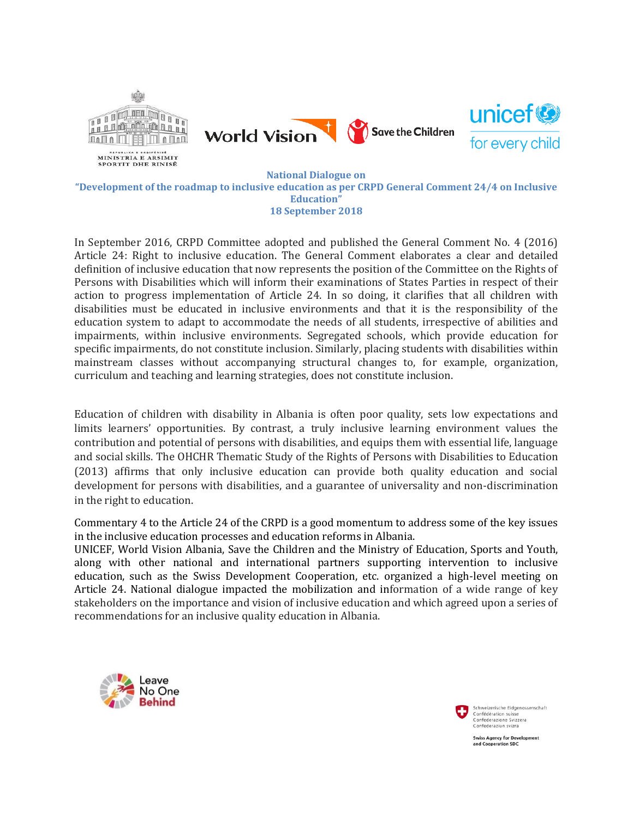





**National Dialogue on "Development of the roadmap to inclusive education as per CRPD General Comment 24/4 on Inclusive Education" 18 September 2018**

In September 2016, CRPD Committee adopted and published the General Comment No. 4 (2016) Article 24: Right to inclusive education. The General Comment elaborates a clear and detailed definition of inclusive education that now represents the position of the Committee on the Rights of Persons with Disabilities which will inform their examinations of States Parties in respect of their action to progress implementation of Article 24. In so doing, it clarifies that all children with disabilities must be educated in inclusive environments and that it is the responsibility of the education system to adapt to accommodate the needs of all students, irrespective of abilities and impairments, within inclusive environments. Segregated schools, which provide education for specific impairments, do not constitute inclusion. Similarly, placing students with disabilities within mainstream classes without accompanying structural changes to, for example, organization, curriculum and teaching and learning strategies, does not constitute inclusion.

Education of children with disability in Albania is often poor quality, sets low expectations and limits learners' opportunities. By contrast, a truly inclusive learning environment values the contribution and potential of persons with disabilities, and equips them with essential life, language and social skills. The OHCHR Thematic Study of the Rights of Persons with Disabilities to Education (2013) affirms that only inclusive education can provide both quality education and social development for persons with disabilities, and a guarantee of universality and non-discrimination in the right to education.

Commentary 4 to the Article 24 of the CRPD is a good momentum to address some of the key issues in the inclusive education processes and education reforms in Albania.

UNICEF, World Vision Albania, Save the Children and the Ministry of Education, Sports and Youth, along with other national and international partners supporting intervention to inclusive education, such as the Swiss Development Cooperation, etc. organized a high-level meeting on Article 24. National dialogue impacted the mobilization and information of a wide range of key stakeholders on the importance and vision of inclusive education and which agreed upon a series of recommendations for an inclusive quality education in Albania.





Confederazione Svizzera<br>Confederazione Svizzera

**Swiss Agency for Development** and Cooperation SDC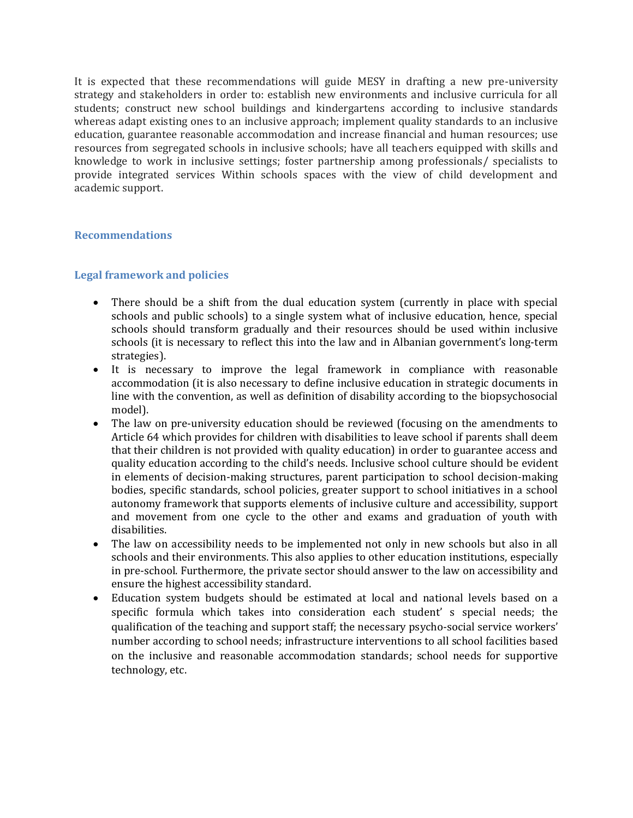It is expected that these recommendations will guide MESY in drafting a new pre-university strategy and stakeholders in order to: establish new environments and inclusive curricula for all students; construct new school buildings and kindergartens according to inclusive standards whereas adapt existing ones to an inclusive approach; implement quality standards to an inclusive education, guarantee reasonable accommodation and increase financial and human resources; use resources from segregated schools in inclusive schools; have all teachers equipped with skills and knowledge to work in inclusive settings; foster partnership among professionals/ specialists to provide integrated services Within schools spaces with the view of child development and academic support.

# **Recommendations**

# **Legal framework and policies**

- There should be a shift from the dual education system (currently in place with special schools and public schools) to a single system what of inclusive education, hence, special schools should transform gradually and their resources should be used within inclusive schools (it is necessary to reflect this into the law and in Albanian government's long-term strategies).
- It is necessary to improve the legal framework in compliance with reasonable accommodation (it is also necessary to define inclusive education in strategic documents in line with the convention, as well as definition of disability according to the biopsychosocial model).
- The law on pre-university education should be reviewed (focusing on the amendments to Article 64 which provides for children with disabilities to leave school if parents shall deem that their children is not provided with quality education) in order to guarantee access and quality education according to the child's needs. Inclusive school culture should be evident in elements of decision-making structures, parent participation to school decision-making bodies, specific standards, school policies, greater support to school initiatives in a school autonomy framework that supports elements of inclusive culture and accessibility, support and movement from one cycle to the other and exams and graduation of youth with disabilities.
- The law on accessibility needs to be implemented not only in new schools but also in all schools and their environments. This also applies to other education institutions, especially in pre-school. Furthermore, the private sector should answer to the law on accessibility and ensure the highest accessibility standard.
- Education system budgets should be estimated at local and national levels based on a specific formula which takes into consideration each student' s special needs; the qualification of the teaching and support staff; the necessary psycho-social service workers' number according to school needs; infrastructure interventions to all school facilities based on the inclusive and reasonable accommodation standards; school needs for supportive technology, etc.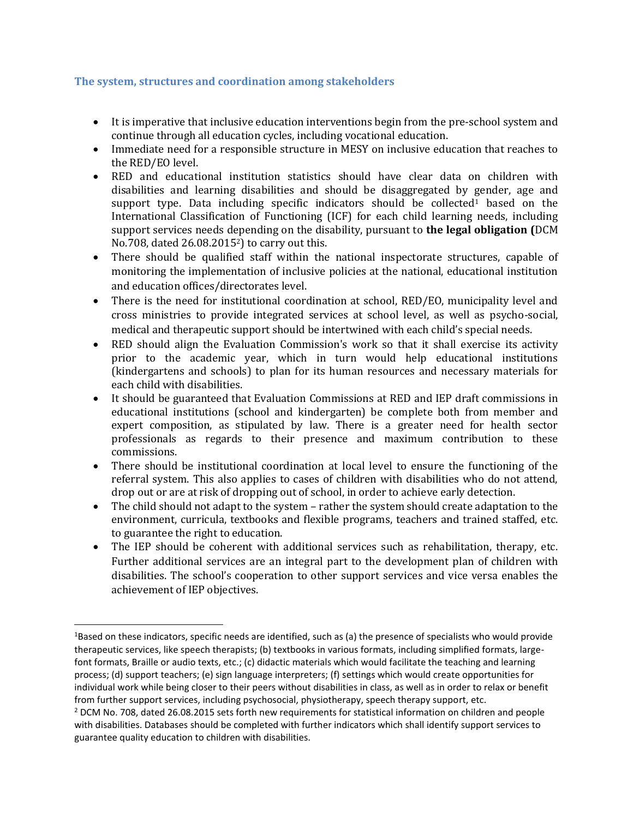## **The system, structures and coordination among stakeholders**

- It is imperative that inclusive education interventions begin from the pre-school system and continue through all education cycles, including vocational education.
- Immediate need for a responsible structure in MESY on inclusive education that reaches to the RED/EO level.
- RED and educational institution statistics should have clear data on children with disabilities and learning disabilities and should be disaggregated by gender, age and support type. Data including specific indicators should be collected<sup>1</sup> based on the International Classification of Functioning (ICF) for each child learning needs, including support services needs depending on the disability, pursuant to **the legal obligation (**DCM No.708, dated 26.08.20152) to carry out this.
- There should be qualified staff within the national inspectorate structures, capable of monitoring the implementation of inclusive policies at the national, educational institution and education offices/directorates level.
- There is the need for institutional coordination at school, RED/EO, municipality level and cross ministries to provide integrated services at school level, as well as psycho-social, medical and therapeutic support should be intertwined with each child's special needs.
- RED should align the Evaluation Commission's work so that it shall exercise its activity prior to the academic year, which in turn would help educational institutions (kindergartens and schools) to plan for its human resources and necessary materials for each child with disabilities.
- It should be guaranteed that Evaluation Commissions at RED and IEP draft commissions in educational institutions (school and kindergarten) be complete both from member and expert composition, as stipulated by law. There is a greater need for health sector professionals as regards to their presence and maximum contribution to these commissions.
- There should be institutional coordination at local level to ensure the functioning of the referral system. This also applies to cases of children with disabilities who do not attend, drop out or are at risk of dropping out of school, in order to achieve early detection.
- The child should not adapt to the system rather the system should create adaptation to the environment, curricula, textbooks and flexible programs, teachers and trained staffed, etc. to guarantee the right to education.
- The IEP should be coherent with additional services such as rehabilitation, therapy, etc. Further additional services are an integral part to the development plan of children with disabilities. The school's cooperation to other support services and vice versa enables the achievement of IEP objectives.

 $\overline{\phantom{a}}$ 

 $1B$ ased on these indicators, specific needs are identified, such as (a) the presence of specialists who would provide therapeutic services, like speech therapists; (b) textbooks in various formats, including simplified formats, largefont formats, Braille or audio texts, etc.; (c) didactic materials which would facilitate the teaching and learning process; (d) support teachers; (e) sign language interpreters; (f) settings which would create opportunities for individual work while being closer to their peers without disabilities in class, as well as in order to relax or benefit from further support services, including psychosocial, physiotherapy, speech therapy support, etc.

<sup>&</sup>lt;sup>2</sup> DCM No. 708, dated 26.08.2015 sets forth new requirements for statistical information on children and people with disabilities. Databases should be completed with further indicators which shall identify support services to guarantee quality education to children with disabilities.